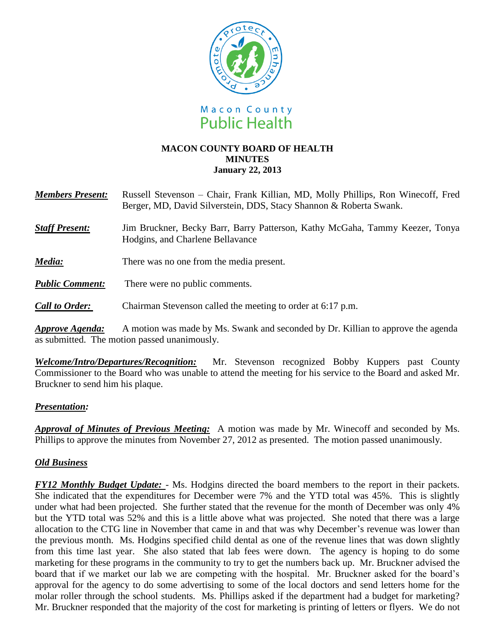

### **MACON COUNTY BOARD OF HEALTH MINUTES January 22, 2013**

| <b>Members Present:</b> | Russell Stevenson – Chair, Frank Killian, MD, Molly Phillips, Ron Winecoff, Fred |
|-------------------------|----------------------------------------------------------------------------------|
|                         | Berger, MD, David Silverstein, DDS, Stacy Shannon & Roberta Swank.               |

- **Staff Present:** Jim Bruckner, Becky Barr, Barry Patterson, Kathy McGaha, Tammy Keezer, Tonya Hodgins, and Charlene Bellavance
- *Media:* There was no one from the media present.
- *Public Comment:* There were no public comments.
- *Call to Order:* Chairman Stevenson called the meeting to order at 6:17 p.m.

*Approve Agenda:* A motion was made by Ms. Swank and seconded by Dr. Killian to approve the agenda as submitted. The motion passed unanimously.

*Welcome/Intro/Departures/Recognition:* Mr. Stevenson recognized Bobby Kuppers past County Commissioner to the Board who was unable to attend the meeting for his service to the Board and asked Mr. Bruckner to send him his plaque.

### *Presentation:*

*Approval of Minutes of Previous Meeting:*A motion was made by Mr. Winecoff and seconded by Ms. Phillips to approve the minutes from November 27, 2012 as presented. The motion passed unanimously.

# *Old Business*

*FY12 Monthly Budget Update:* - Ms. Hodgins directed the board members to the report in their packets. She indicated that the expenditures for December were 7% and the YTD total was 45%. This is slightly under what had been projected. She further stated that the revenue for the month of December was only 4% but the YTD total was 52% and this is a little above what was projected. She noted that there was a large allocation to the CTG line in November that came in and that was why December's revenue was lower than the previous month. Ms. Hodgins specified child dental as one of the revenue lines that was down slightly from this time last year. She also stated that lab fees were down. The agency is hoping to do some marketing for these programs in the community to try to get the numbers back up. Mr. Bruckner advised the board that if we market our lab we are competing with the hospital. Mr. Bruckner asked for the board's approval for the agency to do some advertising to some of the local doctors and send letters home for the molar roller through the school students. Ms. Phillips asked if the department had a budget for marketing? Mr. Bruckner responded that the majority of the cost for marketing is printing of letters or flyers. We do not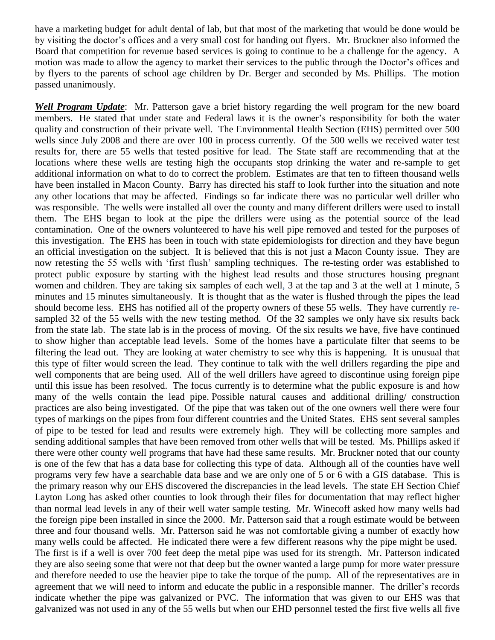have a marketing budget for adult dental of lab, but that most of the marketing that would be done would be by visiting the doctor's offices and a very small cost for handing out flyers. Mr. Bruckner also informed the Board that competition for revenue based services is going to continue to be a challenge for the agency. A motion was made to allow the agency to market their services to the public through the Doctor's offices and by flyers to the parents of school age children by Dr. Berger and seconded by Ms. Phillips. The motion passed unanimously.

*Well Program Update*: Mr. Patterson gave a brief history regarding the well program for the new board members. He stated that under state and Federal laws it is the owner's responsibility for both the water quality and construction of their private well. The Environmental Health Section (EHS) permitted over 500 wells since July 2008 and there are over 100 in process currently. Of the 500 wells we received water test results for, there are 55 wells that tested positive for lead. The State staff are recommending that at the locations where these wells are testing high the occupants stop drinking the water and re-sample to get additional information on what to do to correct the problem. Estimates are that ten to fifteen thousand wells have been installed in Macon County. Barry has directed his staff to look further into the situation and note any other locations that may be affected. Findings so far indicate there was no particular well driller who was responsible. The wells were installed all over the county and many different drillers were used to install them. The EHS began to look at the pipe the drillers were using as the potential source of the lead contamination. One of the owners volunteered to have his well pipe removed and tested for the purposes of this investigation. The EHS has been in touch with state epidemiologists for direction and they have begun an official investigation on the subject. It is believed that this is not just a Macon County issue. They are now retesting the 55 wells with 'first flush' sampling techniques. The re-testing order was established to protect public exposure by starting with the highest lead results and those structures housing pregnant women and children. They are taking six samples of each well, 3 at the tap and 3 at the well at 1 minute, 5 minutes and 15 minutes simultaneously. It is thought that as the water is flushed through the pipes the lead should become less. EHS has notified all of the property owners of these 55 wells. They have currently resampled 32 of the 55 wells with the new testing method. Of the 32 samples we only have six results back from the state lab. The state lab is in the process of moving. Of the six results we have, five have continued to show higher than acceptable lead levels. Some of the homes have a particulate filter that seems to be filtering the lead out. They are looking at water chemistry to see why this is happening. It is unusual that this type of filter would screen the lead. They continue to talk with the well drillers regarding the pipe and well components that are being used. All of the well drillers have agreed to discontinue using foreign pipe until this issue has been resolved. The focus currently is to determine what the public exposure is and how many of the wells contain the lead pipe. Possible natural causes and additional drilling/ construction practices are also being investigated. Of the pipe that was taken out of the one owners well there were four types of markings on the pipes from four different countries and the United States. EHS sent several samples of pipe to be tested for lead and results were extremely high. They will be collecting more samples and sending additional samples that have been removed from other wells that will be tested. Ms. Phillips asked if there were other county well programs that have had these same results. Mr. Bruckner noted that our county is one of the few that has a data base for collecting this type of data. Although all of the counties have well programs very few have a searchable data base and we are only one of 5 or 6 with a GIS database. This is the primary reason why our EHS discovered the discrepancies in the lead levels. The state EH Section Chief Layton Long has asked other counties to look through their files for documentation that may reflect higher than normal lead levels in any of their well water sample testing. Mr. Winecoff asked how many wells had the foreign pipe been installed in since the 2000. Mr. Patterson said that a rough estimate would be between three and four thousand wells. Mr. Patterson said he was not comfortable giving a number of exactly how many wells could be affected. He indicated there were a few different reasons why the pipe might be used. The first is if a well is over 700 feet deep the metal pipe was used for its strength. Mr. Patterson indicated they are also seeing some that were not that deep but the owner wanted a large pump for more water pressure and therefore needed to use the heavier pipe to take the torque of the pump. All of the representatives are in agreement that we will need to inform and educate the public in a responsible manner. The driller's records indicate whether the pipe was galvanized or PVC. The information that was given to our EHS was that galvanized was not used in any of the 55 wells but when our EHD personnel tested the first five wells all five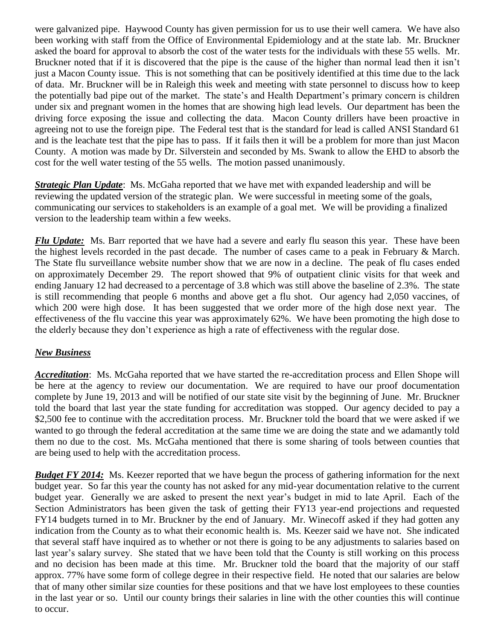were galvanized pipe. Haywood County has given permission for us to use their well camera. We have also been working with staff from the Office of Environmental Epidemiology and at the state lab. Mr. Bruckner asked the board for approval to absorb the cost of the water tests for the individuals with these 55 wells. Mr. Bruckner noted that if it is discovered that the pipe is the cause of the higher than normal lead then it isn't just a Macon County issue. This is not something that can be positively identified at this time due to the lack of data. Mr. Bruckner will be in Raleigh this week and meeting with state personnel to discuss how to keep the potentially bad pipe out of the market. The state's and Health Department's primary concern is children under six and pregnant women in the homes that are showing high lead levels. Our department has been the driving force exposing the issue and collecting the data. Macon County drillers have been proactive in agreeing not to use the foreign pipe. The Federal test that is the standard for lead is called ANSI Standard 61 and is the leachate test that the pipe has to pass. If it fails then it will be a problem for more than just Macon County. A motion was made by Dr. Silverstein and seconded by Ms. Swank to allow the EHD to absorb the cost for the well water testing of the 55 wells. The motion passed unanimously.

*Strategic Plan Update*: Ms. McGaha reported that we have met with expanded leadership and will be reviewing the updated version of the strategic plan. We were successful in meeting some of the goals, communicating our services to stakeholders is an example of a goal met. We will be providing a finalized version to the leadership team within a few weeks.

*Flu Update:* Ms. Barr reported that we have had a severe and early flu season this year. These have been the highest levels recorded in the past decade. The number of cases came to a peak in February & March. The State flu surveillance website number show that we are now in a decline. The peak of flu cases ended on approximately December 29. The report showed that 9% of outpatient clinic visits for that week and ending January 12 had decreased to a percentage of 3.8 which was still above the baseline of 2.3%. The state is still recommending that people 6 months and above get a flu shot. Our agency had 2,050 vaccines, of which 200 were high dose. It has been suggested that we order more of the high dose next year. The effectiveness of the flu vaccine this year was approximately 62%. We have been promoting the high dose to the elderly because they don't experience as high a rate of effectiveness with the regular dose.

# *New Business*

*Accreditation*: Ms. McGaha reported that we have started the re-accreditation process and Ellen Shope will be here at the agency to review our documentation. We are required to have our proof documentation complete by June 19, 2013 and will be notified of our state site visit by the beginning of June. Mr. Bruckner told the board that last year the state funding for accreditation was stopped. Our agency decided to pay a \$2,500 fee to continue with the accreditation process. Mr. Bruckner told the board that we were asked if we wanted to go through the federal accreditation at the same time we are doing the state and we adamantly told them no due to the cost. Ms. McGaha mentioned that there is some sharing of tools between counties that are being used to help with the accreditation process.

*Budget FY 2014:* Ms. Keezer reported that we have begun the process of gathering information for the next budget year. So far this year the county has not asked for any mid-year documentation relative to the current budget year. Generally we are asked to present the next year's budget in mid to late April. Each of the Section Administrators has been given the task of getting their FY13 year-end projections and requested FY14 budgets turned in to Mr. Bruckner by the end of January. Mr. Winecoff asked if they had gotten any indication from the County as to what their economic health is. Ms. Keezer said we have not. She indicated that several staff have inquired as to whether or not there is going to be any adjustments to salaries based on last year's salary survey. She stated that we have been told that the County is still working on this process and no decision has been made at this time. Mr. Bruckner told the board that the majority of our staff approx. 77% have some form of college degree in their respective field. He noted that our salaries are below that of many other similar size counties for these positions and that we have lost employees to these counties in the last year or so. Until our county brings their salaries in line with the other counties this will continue to occur.